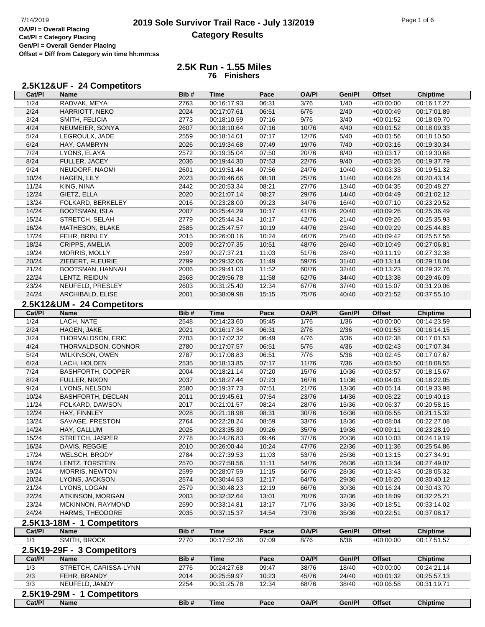## **2019 Sole Survivor Trail Race - July 13/2019** Page 1 of 6 Page 1 of 6 Page 1 of 6 **Category Results**

**2.5K Run - 1.55 Miles 76 Finishers**

## **2.5K12&UF - 24 Competitors**

| Cat/Pl         | <b>Name</b>                | Bib#         | <b>Time</b>                | Pace  | <b>OA/PI</b>   | Gen/Pl         | <b>Offset</b>              | <b>Chiptime</b>            |
|----------------|----------------------------|--------------|----------------------------|-------|----------------|----------------|----------------------------|----------------------------|
| 1/24           | RADVAK, MEYA               | 2763         | 00:16:17.93                | 06:31 | 3/76           | 1/40           | $+00:00:00$                | 00:16:17.27                |
| 2/24           | HARRIOTT, NEKO             | 2024         | 00:17:07.61                | 06:51 | 6/76           | 2/40           | $+00:00:49$                | 00:17:01.89                |
| 3/24           | SMITH, FELICIA             | 2773         | 00:18:10.59                | 07:16 | 9/76           | 3/40           | $+00:01:52$                | 00:18:09.70                |
| 4/24           | NEUMEIER, SONYA            | 2607         | 00:18:10.64                | 07:16 | 10/76          | 4/40           | $+00:01:52$                | 00:18:09.33                |
| $\frac{5}{24}$ | LEGROULX, JADE             | 2559         | 00:18:14.01                | 07:17 | 12/76          | $5/40$         | $+00:01:56$                | 00:18:10.50                |
| 6/24           | HAY, CAMBRYN               | 2026         | 00:19:34.68                | 07:49 | 19/76          | 7/40           | $+00:03:16$                | 00:19:30.34                |
| 7/24           | LYONS, ELAYA               | 2572         | 00:19:35.04                | 07:50 | 20/76          | 8/40           | $+00:03:17$                | 00:19:30.68                |
| 8/24           | FULLER, JACEY              | 2036         | 00:19:44.30                | 07:53 | 22/76          | 9/40           | $+00:03:26$                | 00:19:37.79                |
| 9/24           | NEUDORF, NAOMI             | 2601         | 00:19:51.44                | 07:56 | 24/76          | 10/40          | $+00:03:33$                | 00:19:51.32                |
| 10/24          | <b>HAGEN, LILY</b>         | 2023         | 00:20:46.66                | 08:18 | 25/76          | 11/40          | $+00:04:28$                | 00:20:43.14                |
| 11/24          | KING, NINA                 | 2442         | 00:20:53.34                | 08:21 | 27/76          | 13/40          | $+00:04:35$                | 00:20:48.27                |
| 12/24          | GIETZ, ELLA                | 2020         | 00:21:07.14                | 08:27 | 29/76          | 14/40          | $+00:04:49$                | 00:21:02.12                |
| 13/24          | FOLKARD, BERKELEY          | 2016         | 00:23:28.00                | 09:23 | 34/76          | 16/40          | $+00:07:10$                | 00:23:20.52                |
| 14/24          | <b>BOOTSMAN, ISLA</b>      | 2007         | 00:25:44.29                | 10:17 | 41/76          | 20/40          | $+00:09:26$                | 00:25:36.49                |
| 15/24          | STRETCH, SELAH             | 2779         | 00:25:44.34                | 10:17 | 42/76          | 21/40          | $+00:09:26$                | 00:25:35.93                |
| 16/24          | MATHESON, BLAKE            | 2585         | 00:25:47.57                | 10:19 | 44/76          | 23/40          | $+00:09:29$                | 00:25:44.83                |
| 17/24          | FEHR, BRINLEY              | 2015         | 00:26:00.16                | 10:24 | 46/76          | 25/40          | $+00:09:42$                | 00:25:57.56                |
| 18/24          | CRIPPS, AMELIA             | 2009         | 00:27:07.35                | 10:51 | 48/76          | 26/40          | $+00:10:49$                | 00:27:06.81                |
| 19/24          | MORRIS, MOLLY              | 2597         | 00:27:37.21                | 11:03 | 51/76          | 28/40          | $+00:11:19$                | 00:27:32.38                |
| 20/24          | ZIEBERT, FLEURIE           | 2799         | 00:29:32.06                | 11:49 | 59/76          | 31/40          | $+00:13:14$                | 00:29:18.04                |
| 21/24          | BOOTSMAN, HANNAH           | 2006         | 00:29:41.03                | 11:52 | 60/76          | 32/40          | $+00:13:23$                | 00:29:32.76                |
| 22/24          | LENTZ, REIDUN              | 2568         | 00:29:56.78                | 11:58 | 62/76          | 34/40          | $+00:13:38$                | 00:29:46.09                |
| 23/24          | NEUFELD, PRESLEY           | 2603         | 00:31:25.40                | 12:34 | 67/76          | 37/40          | $+00:15:07$                | 00:31:20.06                |
| 24/24          | ARCHIBALD, ELISE           | 2001         | 00:38:09.98                | 15:15 | 75/76          | 40/40          | $+00:21:52$                | 00:37:55.10                |
|                | 2.5K12&UM - 24 Competitors |              |                            |       |                |                |                            |                            |
| Cat/Pl         | <b>Name</b>                | Bib#         | <b>Time</b>                | Pace  | <b>OA/PI</b>   | Gen/Pl         | <b>Offset</b>              | <b>Chiptime</b>            |
| $\frac{1}{24}$ | LACH, NATE                 | 2548         | 00:14:23.60                | 05:45 | 1/76           | $\frac{1}{36}$ | $+00:00:00$                | 00:14:23.59                |
| 2/24           | HAGEN, JAKE                | 2021         | 00:16:17.34                | 06:31 | 2/76           | 2/36           | $+00:01:53$                | 00:16:14.15                |
| 3/24           | THORVALDSON, ERIC          | 2783         | 00:17:02.32                | 06:49 | 4/76           | 3/36           | $+00:02:38$                | 00:17:01.53                |
| 4/24           | THORVALDSON, CONNOR        | 2780         | 00:17:07.57                | 06:51 | $5/76$         | 4/36           | $+00:02:43$                | 00:17:07.34                |
| 5/24           | WILKINSON, OWEN            | 2787         | 00:17:08.83                | 06:51 | 7/76           | 5/36           | $+00:02:45$                | 00:17:07.67                |
| 6/24           | LACH, HOLDEN               | 2535         | 00:18:13.85                | 07:17 | 11/76          | 7/36           | $+00:03:50$                | 00:18:08.55                |
| 7/24           | <b>BASHFORTH, COOPER</b>   | 2004         | 00:18:21.14                | 07:20 | 15/76          | 10/36          | $+00:03:57$                | 00:18:15.67                |
| 8/24           | FULLER, NIXON              | 2037         | 00:18:27.44                | 07:23 | 16/76          | 11/36          | $+00:04:03$                | 00:18:22.05                |
| 9/24           | LYONS, NELSON              | 2580         | 00:19:37.73                | 07:51 | 21/76          | 13/36          | $+00:05:14$                | 00:19:33.98                |
| 10/24          | BASHFORTH, DECLAN          | 2011         | 00:19:45.61                | 07:54 | 23/76          | 14/36          | $+00:05:22$                | 00:19:40.13                |
| 11/24          | FOLKARD, DAWSON            | 2017         | 00:21:01.57                | 08:24 | 28/76          | 15/36          | $+00:06:37$                | 00:20:58.15                |
| 12/24          | HAY, FINNLEY               | 2028         | 00:21:18.98                | 08:31 | 30/76          | 16/36          | $+00:06:55$                | 00:21:15.32                |
| 13/24          | SAVAGE, PRESTON            | 2764         | 00:22:28.24                | 08:59 | 33/76          | 18/36          | $+00:08:04$                | 00:22:27.08                |
| 14/24          | HAY, CALLUM                | 2025         | 00:23:35.30                | 09:26 | 35/76          | 19/36          | $+00.09:11$                | 00:23:28.19                |
| 15/24          | STRETCH, JASPER            | 2778         | 00:24:26.83                | 09:46 | 37/76          | 20/36          | $+00:10:03$                | 00:24:19.19                |
| 16/24          | DAVIS, REGGIE              |              |                            | 10:24 |                |                |                            |                            |
| 17/24          | WELSCH, BRODY              | 2010<br>2784 | 00:26:00.44<br>00:27:39.53 | 11:03 | 47/76<br>53/76 | 22/36<br>25/36 | $+00:11:36$<br>$+00:13:15$ | 00:25:54.86<br>00:27:34.91 |
| 18/24          | LENTZ, TORSTEIN            | 2570         | 00:27:58.56                | 11:11 | 54/76          | 26/36          | $+00:13:34$                | 00:27:49.07                |
| 19/24          | MORRIS, NEWTON             | 2599         | 00:28:07.59                | 11:15 | 56/76          | 28/36          | $+00:13:43$                | 00:28:05.32                |
| 20/24          | LYONS, JACKSON             | 2574         | 00:30:44.53                | 12:17 | 64/76          | 29/36          | $+00:16:20$                | 00:30:40.12                |
| 21/24          | LYONS, LOGAN               | 2579         | 00:30:48.23                | 12:19 | 66/76          | 30/36          | $+00:16:24$                | 00:30:43.70                |
| 22/24          | ATKINSON, MORGAN           | 2003         | 00:32:32.64                | 13:01 | 70/76          | 32/36          | $+00:18:09$                | 00:32:25.21                |
| 23/24          | MCKINNON, RAYMOND          | 2590         | 00:33:14.81                | 13:17 | 71/76          | 33/36          | $+00:18:51$                | 00:33:14.02                |
| 24/24          | HARMS, THEODORE            | 2035         | 00:37:15.37                | 14:54 | 73/76          | 35/36          | $+00:22:51$                | 00:37:08.17                |
|                |                            |              |                            |       |                |                |                            |                            |
|                | 2.5K13-18M - 1 Competitors |              |                            |       |                |                |                            |                            |
| Cat/PI         | Name                       | Bib#         | <b>Time</b>                | Pace  | <b>OA/PI</b>   | Gen/Pl         | <b>Offset</b>              | <b>Chiptime</b>            |
| 1/1            | SMITH, BROCK               | 2770         | 00:17:52.36                | 07:09 | 8/76           | 6/36           | $+00:00:00$                | 00:17:51.57                |
|                | 2.5K19-29F - 3 Competitors |              |                            |       |                |                |                            |                            |
| Cat/PI         | <b>Name</b>                | Bib#         | <b>Time</b>                | Pace  | <b>OA/PI</b>   | Gen/Pl         | <b>Offset</b>              | <b>Chiptime</b>            |
| 1/3            | STRETCH, CARISSA-LYNN      | 2776         | 00:24:27.68                | 09:47 | 38/76          | 18/40          | $+00:00:00$                | 00:24:21.14                |
| $2/3$          | FEHR, BRANDY               | 2014         | 00:25:59.97                | 10:23 | 45/76          | 24/40          | $+00:01:32$                | 00:25:57.13                |
| 3/3            | NEUFELD, JANDY             | 2254         | 00:31:25.78                | 12:34 | 68/76          | 38/40          | $+00:06:58$                | 00:31:19.71                |
|                | 2.5K19-29M - 1 Competitors |              |                            |       |                |                |                            |                            |
| Cat/PI         | <b>Name</b>                | Bib#         | <b>Time</b>                | Pace  | <b>OA/PI</b>   | Gen/Pl         | <b>Offset</b>              | <b>Chiptime</b>            |